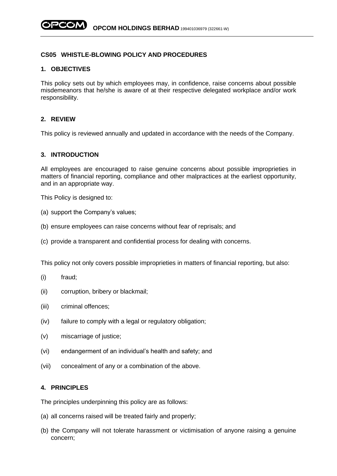## **CS05 WHISTLE-BLOWING POLICY AND PROCEDURES**

### **1. OBJECTIVES**

This policy sets out by which employees may, in confidence, raise concerns about possible misdemeanors that he/she is aware of at their respective delegated workplace and/or work responsibility.

# **2. REVIEW**

This policy is reviewed annually and updated in accordance with the needs of the Company.

#### **3. INTRODUCTION**

All employees are encouraged to raise genuine concerns about possible improprieties in matters of financial reporting, compliance and other malpractices at the earliest opportunity, and in an appropriate way.

This Policy is designed to:

- (a) support the Company's values;
- (b) ensure employees can raise concerns without fear of reprisals; and
- (c) provide a transparent and confidential process for dealing with concerns.

This policy not only covers possible improprieties in matters of financial reporting, but also:

- (i) fraud;
- (ii) corruption, bribery or blackmail;
- (iii) criminal offences;
- (iv) failure to comply with a legal or regulatory obligation;
- (v) miscarriage of justice;
- (vi) endangerment of an individual's health and safety; and
- (vii) concealment of any or a combination of the above.

## **4. PRINCIPLES**

The principles underpinning this policy are as follows:

- (a) all concerns raised will be treated fairly and properly;
- (b) the Company will not tolerate harassment or victimisation of anyone raising a genuine concern;